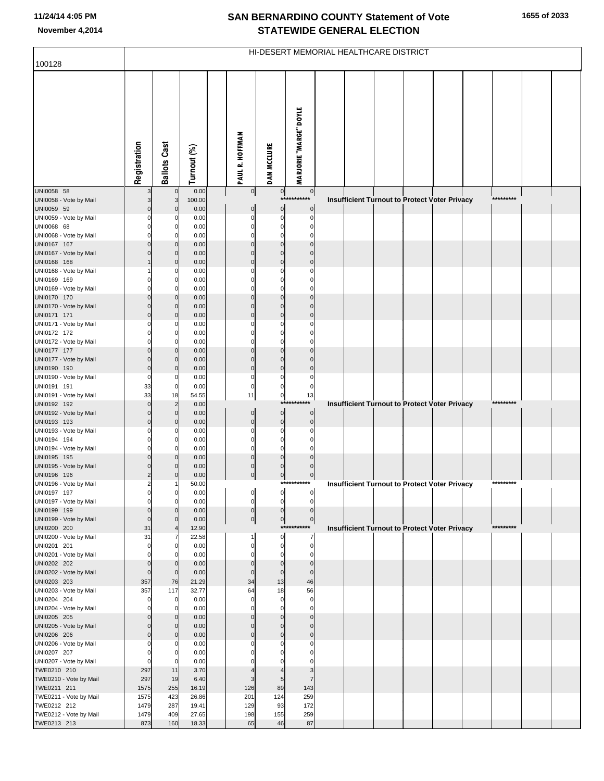| 100128                                | HI-DESERT MEMORIAL HEALTHCARE DISTRICT |                         |                |              |                         |                               |                                |  |  |  |                                                      |  |  |           |  |  |
|---------------------------------------|----------------------------------------|-------------------------|----------------|--------------|-------------------------|-------------------------------|--------------------------------|--|--|--|------------------------------------------------------|--|--|-----------|--|--|
|                                       |                                        |                         |                |              |                         |                               |                                |  |  |  |                                                      |  |  |           |  |  |
|                                       | Registration                           | <b>Ballots Cast</b>     | Turnout (%)    |              | PAUL R. HOFFMAN         | <b>DAN MCCLURE</b>            | <b>MARJORIE "MARGE" DOYLE</b>  |  |  |  |                                                      |  |  |           |  |  |
| UNI0058 58<br>UNI0058 - Vote by Mail  | 3                                      |                         | 0.00<br>100.00 |              | $\circ$                 | $\overline{0}$<br>$***$       | $\overline{0}$<br>*******      |  |  |  | Insufficient Turnout to Protect Voter Privacy        |  |  | ********* |  |  |
| UNI0059 59                            | $\Omega$                               | $\Omega$                | 0.00           |              | 0                       | $\overline{0}$                | $\mathbf 0$                    |  |  |  |                                                      |  |  |           |  |  |
| UNI0059 - Vote by Mail                | O                                      |                         | 0.00           |              | $\Omega$                | $\mathbf 0$                   | $\Omega$                       |  |  |  |                                                      |  |  |           |  |  |
| UNI0068 68<br>UNI0068 - Vote by Mail  | $\Omega$                               |                         | 0.00<br>0.00   |              | $\Omega$<br>0           | $\Omega$<br>$\Omega$          | C                              |  |  |  |                                                      |  |  |           |  |  |
| UNI0167 167                           | $\Omega$                               |                         | 0.00           |              | $\Omega$                | $\Omega$                      | $\Omega$                       |  |  |  |                                                      |  |  |           |  |  |
| UNI0167 - Vote by Mail                |                                        | $\Omega$                | 0.00           |              | $\Omega$                | $\Omega$                      | $\sqrt{ }$                     |  |  |  |                                                      |  |  |           |  |  |
| UNI0168 168                           |                                        | $\Omega$                | 0.00           |              | $\mathbf 0$             | $\mathbf 0$                   | $\mathcal{C}$                  |  |  |  |                                                      |  |  |           |  |  |
| UNI0168 - Vote by Mail<br>UNI0169 169 | 0                                      | $\Omega$                | 0.00<br>0.00   |              | 0<br>0                  | 0<br>$\Omega$                 | C                              |  |  |  |                                                      |  |  |           |  |  |
| UNI0169 - Vote by Mail                | C                                      |                         | 0.00           |              | C                       | C                             |                                |  |  |  |                                                      |  |  |           |  |  |
| UNI0170 170                           | $\Omega$                               | $\Omega$                | 0.00           |              | $\Omega$                | $\mathbf 0$                   | $\Omega$                       |  |  |  |                                                      |  |  |           |  |  |
| UNI0170 - Vote by Mail                | $\Omega$<br>$\Omega$                   | $\Omega$<br>$\Omega$    | 0.00<br>0.00   |              | $\Omega$<br>$\Omega$    | $\Omega$<br>$\Omega$          | $\mathcal{C}$<br>$\mathcal{C}$ |  |  |  |                                                      |  |  |           |  |  |
| UNI0171 171<br>UNI0171 - Vote by Mail |                                        |                         | 0.00           |              | 0                       | $\Omega$                      | C                              |  |  |  |                                                      |  |  |           |  |  |
| UNI0172 172                           | O                                      | 0                       | 0.00           |              | 0                       | $\Omega$                      | C                              |  |  |  |                                                      |  |  |           |  |  |
| UNI0172 - Vote by Mail                | O                                      |                         | 0.00           |              | $\Omega$                | $\Omega$                      | C                              |  |  |  |                                                      |  |  |           |  |  |
| UNI0177 177<br>UNI0177 - Vote by Mail | $\Omega$<br>$\Omega$                   | $\Omega$<br>$\Omega$    | 0.00<br>0.00   |              | $\Omega$<br>$\mathbf 0$ | $\Omega$<br>$\Omega$          | $\mathsf{C}$<br>$\mathsf{C}$   |  |  |  |                                                      |  |  |           |  |  |
| UNI0190 190                           | $\mathbf 0$                            | $\Omega$                | 0.00           |              | $\mathbf 0$             | $\mathbf 0$                   | $\mathcal{C}$                  |  |  |  |                                                      |  |  |           |  |  |
| UNI0190 - Vote by Mail                | $\Omega$                               |                         | 0.00           |              | $\Omega$                | $\Omega$                      | C                              |  |  |  |                                                      |  |  |           |  |  |
| UNI0191 191<br>UNI0191 - Vote by Mail | 33<br>33                               | 0<br>18                 | 0.00<br>54.55  |              | $\mathbf 0$<br>11       | $\mathbf 0$<br>$\overline{0}$ | 0<br>13                        |  |  |  |                                                      |  |  |           |  |  |
| UNI0192 192                           | $\Omega$                               | $\overline{2}$          | 0.00           |              |                         |                               | ***********                    |  |  |  | <b>Insufficient Turnout to Protect Voter Privacy</b> |  |  | ********* |  |  |
| UNI0192 - Vote by Mail                | $\Omega$                               | $\mathbf 0$             | 0.00           |              | $\mathbf 0$             | $\mathbf 0$                   | $\mathbf 0$                    |  |  |  |                                                      |  |  |           |  |  |
| UNI0193 193                           | $\Omega$                               | $\Omega$                | 0.00           |              | $\mathbf 0$             | $\mathbf 0$                   | $\mathbf 0$                    |  |  |  |                                                      |  |  |           |  |  |
| UNI0193 - Vote by Mail<br>UNI0194 194 | C<br>0                                 | $\Omega$                | 0.00<br>0.00   |              | $\Omega$<br>$\Omega$    | $\Omega$<br>$\Omega$          |                                |  |  |  |                                                      |  |  |           |  |  |
| UNI0194 - Vote by Mail                | O                                      |                         | 0.00           |              | $\Omega$                | $\Omega$                      |                                |  |  |  |                                                      |  |  |           |  |  |
| UNI0195 195                           | $\Omega$                               |                         | 0.00           |              | $\Omega$                | $\Omega$                      |                                |  |  |  |                                                      |  |  |           |  |  |
| UNI0195 - Vote by Mail<br>UNI0196 196 | $\Omega$<br>$\overline{2}$             |                         | 0.00<br>0.00   |              | $\Omega$<br>$\mathbf 0$ | $\Omega$<br>$\mathbf 0$       | $\mathcal{C}$<br>$\mathbf 0$   |  |  |  |                                                      |  |  |           |  |  |
| UNI0196 - Vote by Mail                | 2                                      |                         | 50.00          |              |                         |                               | ***********                    |  |  |  | <b>Insufficient Turnout to Protect Voter Privacy</b> |  |  | ********* |  |  |
| UNI0197 197                           |                                        | 0                       | 0.00           | $\mathbf{I}$ |                         | <sub>o</sub> l                |                                |  |  |  |                                                      |  |  |           |  |  |
| UNI0197 - Vote by Mail<br>UNI0199 199 | $\Omega$<br>$\mathbf 0$                | 0                       | 0.00<br>0.00   |              | 0<br>$\mathbf 0$        | $\Omega$<br>$\mathbf{0}$      | C<br>$\mathbf{0}$              |  |  |  |                                                      |  |  |           |  |  |
| UNI0199 - Vote by Mail                | $\mathbf 0$                            | 0                       | 0.00           |              | $\circ$                 | $\overline{0}$                | $\mathbf 0$                    |  |  |  |                                                      |  |  |           |  |  |
| UNI0200 200                           | 31                                     |                         | 12.90          |              |                         |                               | ***********                    |  |  |  | <b>Insufficient Turnout to Protect Voter Privacy</b> |  |  | ********* |  |  |
| UNI0200 - Vote by Mail<br>UNI0201 201 | 31<br>$\mathbf 0$                      | 0                       | 22.58<br>0.00  |              | 1<br>0                  | $\mathbf 0$<br>$\mathbf 0$    | $\overline{7}$<br>$\mathbf 0$  |  |  |  |                                                      |  |  |           |  |  |
| UNI0201 - Vote by Mail                | $\Omega$                               |                         | 0.00           |              | $\Omega$                | O                             | $\Omega$                       |  |  |  |                                                      |  |  |           |  |  |
| UNI0202 202                           | $\mathbf 0$                            | $\Omega$                | 0.00           |              | $\mathbf 0$             | $\mathbf 0$                   | $\mathbf 0$                    |  |  |  |                                                      |  |  |           |  |  |
| UNI0202 - Vote by Mail<br>UNI0203 203 | $\mathbf 0$<br>357                     | $\mathbf 0$<br>76       | 0.00<br>21.29  |              | $\mathbf 0$<br>34       | $\mathbf 0$<br>13             | $\mathbf{0}$<br>46             |  |  |  |                                                      |  |  |           |  |  |
| UNI0203 - Vote by Mail                | 357                                    | 117                     | 32.77          |              | 64                      | 18                            | 56                             |  |  |  |                                                      |  |  |           |  |  |
| UNI0204 204                           | $\mathbf 0$                            | 0                       | 0.00           |              | $\mathbf 0$             | $\mathbf 0$                   | $\mathbf 0$                    |  |  |  |                                                      |  |  |           |  |  |
| UNI0204 - Vote by Mail                | O                                      |                         | 0.00           |              | $\Omega$                | $\Omega$                      | $\Omega$                       |  |  |  |                                                      |  |  |           |  |  |
| UNI0205 205<br>UNI0205 - Vote by Mail | $\Omega$<br>$\Omega$                   | $\mathbf 0$<br>$\Omega$ | 0.00<br>0.00   |              | $\Omega$<br>$\Omega$    | $\Omega$<br>$\Omega$          | $\Omega$<br>$\Omega$           |  |  |  |                                                      |  |  |           |  |  |
| UNI0206 206                           | $\Omega$                               | $\mathbf 0$             | 0.00           |              | $\mathbf 0$             | $\mathbf 0$                   | $\Omega$                       |  |  |  |                                                      |  |  |           |  |  |
| UNI0206 - Vote by Mail                | C                                      |                         | 0.00           |              | C                       |                               | $\sqrt{ }$                     |  |  |  |                                                      |  |  |           |  |  |
| UNI0207 207                           | $\mathbf 0$                            | $\Omega$                | 0.00<br>0.00   |              | 0                       |                               | C                              |  |  |  |                                                      |  |  |           |  |  |
| UNI0207 - Vote by Mail<br>TWE0210 210 | $\mathbf 0$<br>297                     | 11                      | 3.70           |              |                         |                               | 3                              |  |  |  |                                                      |  |  |           |  |  |
| TWE0210 - Vote by Mail                | 297                                    | 19                      | 6.40           |              | 3                       | 5                             | $\overline{7}$                 |  |  |  |                                                      |  |  |           |  |  |
| TWE0211 211                           | 1575                                   | 255                     | 16.19          |              | 126                     | 89                            | 143                            |  |  |  |                                                      |  |  |           |  |  |
| TWE0211 - Vote by Mail<br>TWE0212 212 | 1575<br>1479                           | 423<br>287              | 26.86<br>19.41 |              | 201<br>129              | 124<br>93                     | 259<br>172                     |  |  |  |                                                      |  |  |           |  |  |
| TWE0212 - Vote by Mail                | 1479                                   | 409                     | 27.65          |              | 198                     | 155                           | 259                            |  |  |  |                                                      |  |  |           |  |  |
| TWE0213 213                           | 873                                    | 160                     | 18.33          |              | 65                      | 46                            | 87                             |  |  |  |                                                      |  |  |           |  |  |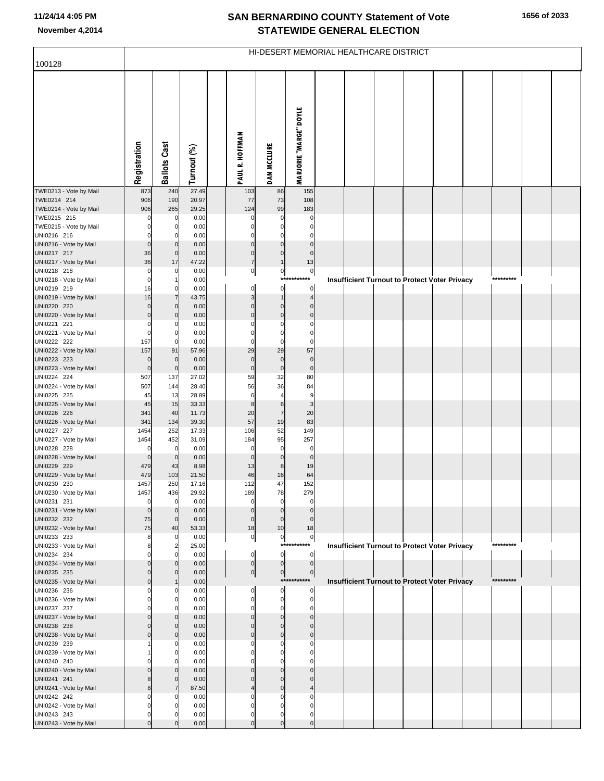| 100128                                | HI-DESERT MEMORIAL HEALTHCARE DISTRICT |                                  |                |  |                               |                                  |                                |  |  |  |  |                                                      |  |           |  |  |
|---------------------------------------|----------------------------------------|----------------------------------|----------------|--|-------------------------------|----------------------------------|--------------------------------|--|--|--|--|------------------------------------------------------|--|-----------|--|--|
|                                       |                                        |                                  |                |  |                               |                                  |                                |  |  |  |  |                                                      |  |           |  |  |
|                                       | Registration                           | <b>Ballots Cast</b>              | Turnout (%)    |  | <b>PAUL R. HOFFMAN</b>        | <b>DAN MCCLURE</b>               | <b>MARJORIE "MARGE" DOYLE</b>  |  |  |  |  |                                                      |  |           |  |  |
|                                       |                                        |                                  |                |  |                               |                                  |                                |  |  |  |  |                                                      |  |           |  |  |
| TWE0213 - Vote by Mail                | 873                                    | 240                              | 27.49          |  | 103                           | 86                               | 155                            |  |  |  |  |                                                      |  |           |  |  |
| TWE0214 214                           | 906                                    | 190                              | 20.97          |  | 77                            | 73                               | 108                            |  |  |  |  |                                                      |  |           |  |  |
| TWE0214 - Vote by Mail<br>TWE0215 215 | 906<br>$\mathcal{C}$                   | 265<br>0                         | 29.25<br>0.00  |  | 124<br>$\mathbf 0$            | 99<br>$\mathbf 0$                | 183<br>$\mathbf 0$             |  |  |  |  |                                                      |  |           |  |  |
| TWE0215 - Vote by Mail                | C                                      | $\overline{0}$                   | 0.00           |  | $\Omega$                      | $\mathbf 0$                      | $\mathbf 0$                    |  |  |  |  |                                                      |  |           |  |  |
| UNI0216 216                           | C                                      | $\overline{0}$                   | 0.00           |  | $\Omega$                      | $\mathbf 0$                      | $\mathbf 0$                    |  |  |  |  |                                                      |  |           |  |  |
| UNI0216 - Vote by Mail                | $\mathbf 0$                            | $\overline{0}$                   | 0.00           |  | $\overline{0}$                | $\overline{0}$                   | $\overline{0}$                 |  |  |  |  |                                                      |  |           |  |  |
| UNI0217 217                           | 36                                     | $\mathbf 0$                      | 0.00           |  | $\overline{0}$                | $\mathbf 0$                      | $\overline{0}$                 |  |  |  |  |                                                      |  |           |  |  |
| UNI0217 - Vote by Mail                | 36                                     | 17                               | 47.22          |  | 7                             | $\mathbf{1}$                     | 13                             |  |  |  |  |                                                      |  |           |  |  |
| UNI0218 218<br>UNI0218 - Vote by Mail | $\overline{0}$<br>$\mathbf 0$          | $\overline{0}$                   | 0.00<br>0.00   |  | $\overline{0}$                | $\circ$                          | $\overline{0}$<br>***********  |  |  |  |  | <b>Insufficient Turnout to Protect Voter Privacy</b> |  | ********* |  |  |
| UNI0219 219                           | 16                                     | $\overline{0}$                   | 0.00           |  | $\mathbf{0}$                  | $\overline{0}$                   | $\overline{0}$                 |  |  |  |  |                                                      |  |           |  |  |
| UNI0219 - Vote by Mail                | 16                                     | $\overline{7}$                   | 43.75          |  | $\overline{3}$                | $\mathbf{1}$                     | 4                              |  |  |  |  |                                                      |  |           |  |  |
| UNI0220 220                           | $\mathbf 0$                            | $\overline{0}$                   | 0.00           |  | $\mathbf 0$                   | $\mathbf 0$                      | $\overline{0}$                 |  |  |  |  |                                                      |  |           |  |  |
| UNI0220 - Vote by Mail                | $\mathbf 0$                            | $\overline{0}$                   | 0.00           |  | $\pmb{0}$                     | $\mathbf 0$                      | $\overline{0}$                 |  |  |  |  |                                                      |  |           |  |  |
| UNI0221 221                           | C                                      | $\mathbf 0$                      | 0.00           |  | $\Omega$                      | $\Omega$                         | $\mathbf 0$                    |  |  |  |  |                                                      |  |           |  |  |
| UNI0221 - Vote by Mail<br>UNI0222 222 | $\epsilon$<br>157                      | $\overline{0}$<br>$\overline{0}$ | 0.00<br>0.00   |  | $\Omega$<br>$\Omega$          | $\mathbf 0$<br>$\mathbf 0$       | $\mathbf 0$<br>$\mathbf 0$     |  |  |  |  |                                                      |  |           |  |  |
| UNI0222 - Vote by Mail                | 157                                    | 91                               | 57.96          |  | 29                            | 29                               | 57                             |  |  |  |  |                                                      |  |           |  |  |
| UNI0223 223                           | $\overline{0}$                         | $\mathbf 0$                      | 0.00           |  | $\mathbf 0$                   | $\mathbf 0$                      | $\overline{0}$                 |  |  |  |  |                                                      |  |           |  |  |
| UNI0223 - Vote by Mail                | $\mathbf 0$                            | $\mathbf 0$                      | 0.00           |  | $\mathbf 0$                   | $\circ$                          | $\overline{0}$                 |  |  |  |  |                                                      |  |           |  |  |
| UNI0224 224                           | 507                                    | 137                              | 27.02          |  | 59                            | 32                               | 80                             |  |  |  |  |                                                      |  |           |  |  |
| UNI0224 - Vote by Mail                | 507                                    | 144                              | 28.40          |  | 56                            | 36                               | 84                             |  |  |  |  |                                                      |  |           |  |  |
| UNI0225 225<br>UNI0225 - Vote by Mail | 45<br>45                               | 13<br>15                         | 28.89<br>33.33 |  | $6\phantom{1}6$<br>8          | $\overline{4}$<br>6              | $\overline{9}$<br>$\mathbf{3}$ |  |  |  |  |                                                      |  |           |  |  |
| UNI0226 226                           | 341                                    | 40                               | 11.73          |  | 20                            | $\overline{7}$                   | 20                             |  |  |  |  |                                                      |  |           |  |  |
| UNI0226 - Vote by Mail                | 341                                    | 134                              | 39.30          |  | 57                            | 19                               | 83                             |  |  |  |  |                                                      |  |           |  |  |
| UNI0227 227                           | 1454                                   | 252                              | 17.33          |  | 106                           | 52                               | 149                            |  |  |  |  |                                                      |  |           |  |  |
| UNI0227 - Vote by Mail                | 1454                                   | 452                              | 31.09          |  | 184                           | 95                               | 257                            |  |  |  |  |                                                      |  |           |  |  |
| UNI0228 228                           | $\mathbf 0$                            | 0<br>$\mathbf 0$                 | 0.00           |  | $\mathbf 0$<br>$\mathbf 0$    | $\mathbf 0$<br>$\mathbf 0$       | $\mathbf 0$<br>$\overline{0}$  |  |  |  |  |                                                      |  |           |  |  |
| UNI0228 - Vote by Mail<br>UNI0229 229 | $\overline{0}$<br>479                  | 43                               | 0.00<br>8.98   |  | 13                            | 8                                | 19                             |  |  |  |  |                                                      |  |           |  |  |
| UNI0229 - Vote by Mail                | 479                                    | 103                              | 21.50          |  | 46                            | 16                               | 64                             |  |  |  |  |                                                      |  |           |  |  |
| UNI0230 230                           | 1457                                   | 250                              | 17.16          |  | 112                           | 47                               | 152                            |  |  |  |  |                                                      |  |           |  |  |
| UNI0230 - Vote by Mail                | 1457                                   | 436                              | 29.92          |  | 189                           | 78                               | 279                            |  |  |  |  |                                                      |  |           |  |  |
| UNI0231 231                           | $\mathbf 0$                            | $\overline{0}$                   | 0.00           |  | $\overline{0}$                | $\mathbf 0$                      | $\overline{0}$                 |  |  |  |  |                                                      |  |           |  |  |
| UNI0231 - Vote by Mail<br>UNI0232 232 | $\mathbf 0$<br>75                      | $\mathbf 0$<br>$\mathbf 0$       | 0.00<br>0.00   |  | $\overline{0}$<br>$\mathbf 0$ | $\overline{0}$<br>$\mathbf 0$    | $\mathbf 0$                    |  |  |  |  |                                                      |  |           |  |  |
| UNI0232 - Vote by Mail                | 75                                     | 40                               | 53.33          |  | 18                            | 10                               | 18                             |  |  |  |  |                                                      |  |           |  |  |
| UNI0233 233                           | 8                                      | $\overline{0}$                   | 0.00           |  | $\overline{0}$                | $\overline{0}$                   | $\circ$                        |  |  |  |  |                                                      |  |           |  |  |
| UNI0233 - Vote by Mail                | 8                                      | $\overline{2}$                   | 25.00          |  |                               |                                  | ***********                    |  |  |  |  | <b>Insufficient Turnout to Protect Voter Privacy</b> |  | ********* |  |  |
| UNI0234 234                           |                                        | $\mathbf 0$                      | 0.00           |  | $\overline{0}$                | <sub>0</sub>                     | $\overline{0}$                 |  |  |  |  |                                                      |  |           |  |  |
| UNI0234 - Vote by Mail<br>UNI0235 235 | ſ                                      | $\overline{0}$<br>$\overline{0}$ | 0.00<br>0.00   |  | $\overline{0}$                | $\overline{0}$<br>$\overline{0}$ | $\overline{0}$<br> 0           |  |  |  |  |                                                      |  |           |  |  |
| UNI0235 - Vote by Mail                | C                                      |                                  | 0.00           |  | $\overline{0}$                |                                  | ***********                    |  |  |  |  | <b>Insufficient Turnout to Protect Voter Privacy</b> |  | ********* |  |  |
| UNI0236 236                           |                                        | 0                                | 0.00           |  | $\mathbf 0$                   | $\mathbf 0$                      | $\mathbf{0}$                   |  |  |  |  |                                                      |  |           |  |  |
| UNI0236 - Vote by Mail                | r                                      | $\overline{0}$                   | 0.00           |  | $\mathbf 0$                   | $\mathbf 0$                      | $\overline{0}$                 |  |  |  |  |                                                      |  |           |  |  |
| UNI0237 237                           |                                        | $\mathbf 0$                      | 0.00           |  | $\Omega$                      | 0                                | $\mathbf 0$                    |  |  |  |  |                                                      |  |           |  |  |
| UNI0237 - Vote by Mail                |                                        | $\overline{0}$                   | 0.00           |  | $\mathbf 0$                   | $\mathbf 0$                      | $\overline{0}$                 |  |  |  |  |                                                      |  |           |  |  |
| UNI0238 238<br>UNI0238 - Vote by Mail | C                                      | $\overline{0}$<br>$\overline{0}$ | 0.00<br>0.00   |  | $\Omega$<br>$\mathbf 0$       | $\Omega$<br>$\mathbf 0$          | $\mathbf{0}$<br>$\Omega$       |  |  |  |  |                                                      |  |           |  |  |
| UNI0239 239                           |                                        | 0                                | 0.00           |  |                               |                                  | 0                              |  |  |  |  |                                                      |  |           |  |  |
| UNI0239 - Vote by Mail                |                                        | $\overline{0}$                   | 0.00           |  | O                             | 0                                | 0                              |  |  |  |  |                                                      |  |           |  |  |
| UNI0240 240                           |                                        | $\mathbf 0$                      | 0.00           |  |                               |                                  |                                |  |  |  |  |                                                      |  |           |  |  |
| UNI0240 - Vote by Mail                |                                        | $\overline{0}$                   | 0.00           |  | $\Omega$                      | $\Omega$                         | $\mathbf{0}$                   |  |  |  |  |                                                      |  |           |  |  |
| UNI0241 241                           |                                        | $\mathbf{0}$<br>$\overline{7}$   | 0.00           |  | $\Omega$                      | $\Omega$                         | $\overline{0}$                 |  |  |  |  |                                                      |  |           |  |  |
| UNI0241 - Vote by Mail<br>UNI0242 242 | ۶                                      | 0                                | 87.50<br>0.00  |  |                               | $\Omega$                         | 4<br>0                         |  |  |  |  |                                                      |  |           |  |  |
| UNI0242 - Vote by Mail                |                                        | $\mathbf 0$                      | 0.00           |  | 0                             | $\Omega$                         | 0                              |  |  |  |  |                                                      |  |           |  |  |
| UNI0243 243                           |                                        | 0                                | 0.00           |  | $\Omega$                      | 0                                | 0                              |  |  |  |  |                                                      |  |           |  |  |
| UNI0243 - Vote by Mail                |                                        | $\Omega$                         | 0.00           |  | $\Omega$                      | $\mathcal{C}$                    | $\Omega$                       |  |  |  |  |                                                      |  |           |  |  |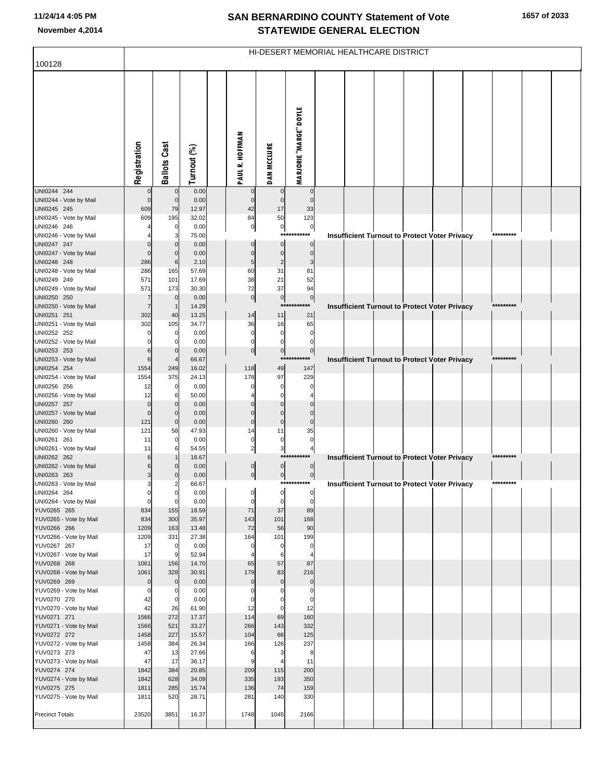| 100128                                | HI-DESERT MEMORIAL HEALTHCARE DISTRICT |                                |                |  |                               |                           |                               |  |  |  |  |                                               |  |           |  |  |
|---------------------------------------|----------------------------------------|--------------------------------|----------------|--|-------------------------------|---------------------------|-------------------------------|--|--|--|--|-----------------------------------------------|--|-----------|--|--|
|                                       |                                        |                                |                |  |                               |                           |                               |  |  |  |  |                                               |  |           |  |  |
|                                       |                                        |                                |                |  |                               |                           |                               |  |  |  |  |                                               |  |           |  |  |
|                                       |                                        |                                |                |  |                               |                           |                               |  |  |  |  |                                               |  |           |  |  |
|                                       |                                        |                                |                |  |                               |                           |                               |  |  |  |  |                                               |  |           |  |  |
|                                       |                                        |                                |                |  |                               |                           |                               |  |  |  |  |                                               |  |           |  |  |
|                                       |                                        |                                |                |  |                               |                           |                               |  |  |  |  |                                               |  |           |  |  |
|                                       |                                        |                                |                |  |                               |                           |                               |  |  |  |  |                                               |  |           |  |  |
|                                       |                                        |                                |                |  |                               |                           |                               |  |  |  |  |                                               |  |           |  |  |
|                                       | Registration                           | <b>Ballots Cast</b>            | Turnout (%)    |  | PAUL R. HOFFMAN               | <b>DAN MCCLURE</b>        | <b>MARJORIE "MARGE" DOYLE</b> |  |  |  |  |                                               |  |           |  |  |
|                                       |                                        |                                |                |  |                               |                           |                               |  |  |  |  |                                               |  |           |  |  |
| UNI0244 244<br>UNI0244 - Vote by Mail | $\mathbf{0}$                           | $\mathbf 0$<br>$\mathbf{0}$    | 0.00<br>0.00   |  | $\mathbf 0$<br>$\mathbf 0$    | $\Omega$<br>$\mathbf{0}$  | $\mathbf 0$<br>$\mathbf 0$    |  |  |  |  |                                               |  |           |  |  |
| UNI0245 245                           | 609                                    | 79                             | 12.97          |  | 42                            | 17                        | 33                            |  |  |  |  |                                               |  |           |  |  |
| UNI0245 - Vote by Mail                | 609                                    | 195                            | 32.02          |  | 84                            | 50                        | 123                           |  |  |  |  |                                               |  |           |  |  |
| UNI0246 246<br>UNI0246 - Vote by Mail |                                        | $\mathbf 0$<br>3               | 0.00<br>75.00  |  | $\overline{0}$                | $\pmb{0}$<br>$***$        | $\circ$<br>r**                |  |  |  |  | Insufficient Turnout to Protect Voter Privacy |  | ********* |  |  |
| UNI0247 247                           | $\Omega$                               | $\mathbf 0$                    | 0.00           |  | $\Omega$                      | 0                         | $\mathbf 0$                   |  |  |  |  |                                               |  |           |  |  |
| UNI0247 - Vote by Mail                | $\Omega$                               | $\mathbf 0$                    | 0.00           |  | $\Omega$                      | $\Omega$                  | $\mathbf 0$                   |  |  |  |  |                                               |  |           |  |  |
| UNI0248 248<br>UNI0248 - Vote by Mail | 286<br>286                             | 6<br>165                       | 2.10<br>57.69  |  | 5<br>60                       | $\overline{2}$<br>31      | 3<br>81                       |  |  |  |  |                                               |  |           |  |  |
| UNI0249 249                           | 571                                    | 101                            | 17.69          |  | 38                            | 21                        | 52                            |  |  |  |  |                                               |  |           |  |  |
| UNI0249 - Vote by Mail                | 571                                    | 173                            | 30.30          |  | 72                            | 37                        | 94                            |  |  |  |  |                                               |  |           |  |  |
| UNI0250 250                           | 7<br>$\overline{7}$                    | $\mathbf 0$                    | 0.00           |  | $\overline{0}$                | $\pmb{0}$<br>$***$        | $\circ$                       |  |  |  |  |                                               |  | ********* |  |  |
| UNI0250 - Vote by Mail<br>UNI0251 251 | 302                                    | -1<br>40                       | 14.29<br>13.25 |  | 14                            | 11                        | 21                            |  |  |  |  | Insufficient Turnout to Protect Voter Privacy |  |           |  |  |
| UNI0251 - Vote by Mail                | 302                                    | 105                            | 34.77          |  | 36                            | 16                        | 65                            |  |  |  |  |                                               |  |           |  |  |
| UNI0252 252                           |                                        | 0                              | 0.00           |  | $\mathbf 0$                   | $\mathbf 0$               | $\mathbf 0$                   |  |  |  |  |                                               |  |           |  |  |
| UNI0252 - Vote by Mail<br>UNI0253 253 | 6                                      | 0<br>$\mathbf{0}$              | 0.00<br>0.00   |  | $\mathbf 0$<br>$\overline{0}$ | $\Omega$<br>$\pmb{0}$     | $\mathbf 0$<br> 0             |  |  |  |  |                                               |  |           |  |  |
| UNI0253 - Vote by Mail                | 6                                      |                                | 66.67          |  |                               | $***$                     | ****                          |  |  |  |  | Insufficient Turnout to Protect Voter Privacy |  | ********* |  |  |
| UNI0254 254                           | 1554                                   | 249                            | 16.02          |  | 118                           | 49                        | 147                           |  |  |  |  |                                               |  |           |  |  |
| UNI0254 - Vote by Mail<br>UNI0256 256 | 1554<br>12                             | 375<br>0                       | 24.13<br>0.00  |  | 178<br>n                      | 97<br>$\Omega$            | 229<br>0                      |  |  |  |  |                                               |  |           |  |  |
| UNI0256 - Vote by Mail                | 12                                     | 6                              | 50.00          |  |                               | C                         |                               |  |  |  |  |                                               |  |           |  |  |
| UNI0257 257                           | $\mathbf 0$                            | $\mathbf{0}$                   | 0.00           |  |                               | C                         |                               |  |  |  |  |                                               |  |           |  |  |
| UNI0257 - Vote by Mail<br>UNI0260 260 | $\overline{0}$<br>121                  | $\mathbf{0}$<br>$\overline{0}$ | 0.00<br>0.00   |  | $\Omega$<br>$\Omega$          | $\mathcal{C}$<br>$\Omega$ | $\Omega$<br>$\Omega$          |  |  |  |  |                                               |  |           |  |  |
| UNI0260 - Vote by Mail                | 121                                    | 58                             | 47.93          |  | 14                            | 11                        | 35                            |  |  |  |  |                                               |  |           |  |  |
| UNI0261 261                           | 11                                     | $\mathbf 0$                    | 0.00           |  | $\pmb{0}$                     | 0                         | $\mathbf 0$                   |  |  |  |  |                                               |  |           |  |  |
| UNI0261 - Vote by Mail<br>UNI0262 262 | 11<br>6                                | 6                              | 54.55<br>16.67 |  | $\mathbf{2}$                  | 3                         | 4<br>******                   |  |  |  |  | Insufficient Turnout to Protect Voter Privacy |  | ********* |  |  |
| UNI0262 - Vote by Mail                | 6                                      | $\Omega$                       | 0.00           |  | $\mathbf 0$                   | $\mathbf 0$               | $\overline{0}$                |  |  |  |  |                                               |  |           |  |  |
| UNI0263 263                           | 3                                      | $\Omega$                       | 0.00           |  | $\mathbf 0$                   | $\pmb{0}$                 | $\overline{0}$                |  |  |  |  |                                               |  |           |  |  |
| UNI0263 - Vote by Mail                | 3                                      |                                | 66.67          |  | $\mathsf{d}$                  | ol                        | ***********                   |  |  |  |  | Insufficient Turnout to Protect Voter Privacy |  | ********* |  |  |
| UNI0264 264<br>UNI0264 - Vote by Mail | $\mathbf 0$                            | U<br>$\overline{0}$            | 0.00<br>0.00   |  | 0                             | $\mathbf 0$               | $\mathbf 0$                   |  |  |  |  |                                               |  |           |  |  |
| YUV0265 265                           | 834                                    | 155                            | 18.59          |  | 71                            | 37                        | 89                            |  |  |  |  |                                               |  |           |  |  |
| YUV0265 - Vote by Mail                | 834                                    | 300                            | 35.97          |  | 143                           | 101                       | 168                           |  |  |  |  |                                               |  |           |  |  |
| YUV0266 266<br>YUV0266 - Vote by Mail | 1209<br>1209                           | 163<br>331                     | 13.48<br>27.38 |  | 72<br>164                     | 56<br>101                 | 90<br>199                     |  |  |  |  |                                               |  |           |  |  |
| YUV0267 267                           | 17                                     | 0                              | 0.00           |  | $\Omega$                      | $\mathbf 0$               | $\Omega$                      |  |  |  |  |                                               |  |           |  |  |
| YUV0267 - Vote by Mail                | 17                                     | 9                              | 52.94          |  | 4                             | 6                         | $\boldsymbol{\Delta}$         |  |  |  |  |                                               |  |           |  |  |
| YUV0268 268<br>YUV0268 - Vote by Mail | 1061<br>1061                           | 156<br>328                     | 14.70<br>30.91 |  | 65<br>179                     | 57<br>83                  | 87<br>216                     |  |  |  |  |                                               |  |           |  |  |
| YUV0269 269                           | $\mathbf 0$                            | $\mathbf 0$                    | 0.00           |  | $\mathbf 0$                   | $\mathbf 0$               | $\pmb{0}$                     |  |  |  |  |                                               |  |           |  |  |
| YUV0269 - Vote by Mail                | 0                                      | 0                              | 0.00           |  | 0                             |                           | $\mathbf 0$                   |  |  |  |  |                                               |  |           |  |  |
| YUV0270 270<br>YUV0270 - Vote by Mail | 42<br>42                               | $\overline{0}$<br>26           | 0.00<br>61.90  |  | 0<br>12                       | O<br>$\Omega$             | $\mathbf 0$<br>12             |  |  |  |  |                                               |  |           |  |  |
| YUV0271 271                           | 1566                                   | 272                            | 17.37          |  | 114                           | 69                        | 160                           |  |  |  |  |                                               |  |           |  |  |
| YUV0271 - Vote by Mail                | 1566                                   | 521                            | 33.27          |  | 266                           | 143                       | 332                           |  |  |  |  |                                               |  |           |  |  |
| YUV0272 272<br>YUV0272 - Vote by Mail | 1458<br>1458                           | 227<br>384                     | 15.57<br>26.34 |  | 104<br>166                    | 66<br>126                 | 125<br>237                    |  |  |  |  |                                               |  |           |  |  |
| YUV0273 273                           | 47                                     | 13                             | 27.66          |  | 6                             | 3                         | 8                             |  |  |  |  |                                               |  |           |  |  |
| YUV0273 - Vote by Mail                | 47                                     | 17                             | 36.17          |  | 9                             |                           | 11                            |  |  |  |  |                                               |  |           |  |  |
| YUV0274 274                           | 1842                                   | 384                            | 20.85          |  | 209                           | 115                       | 200                           |  |  |  |  |                                               |  |           |  |  |
| YUV0274 - Vote by Mail<br>YUV0275 275 | 1842<br>1811                           | 628<br>285                     | 34.09<br>15.74 |  | 335<br>136                    | 193<br>74                 | 350<br>159                    |  |  |  |  |                                               |  |           |  |  |
| YUV0275 - Vote by Mail                | 1811                                   | 520                            | 28.71          |  | 281                           | 140                       | 330                           |  |  |  |  |                                               |  |           |  |  |
|                                       |                                        |                                |                |  |                               |                           |                               |  |  |  |  |                                               |  |           |  |  |
| <b>Precinct Totals</b>                | 23520                                  | 3851                           | 16.37          |  | 1748                          | 1045                      | 2166                          |  |  |  |  |                                               |  |           |  |  |
|                                       |                                        |                                |                |  |                               |                           |                               |  |  |  |  |                                               |  |           |  |  |